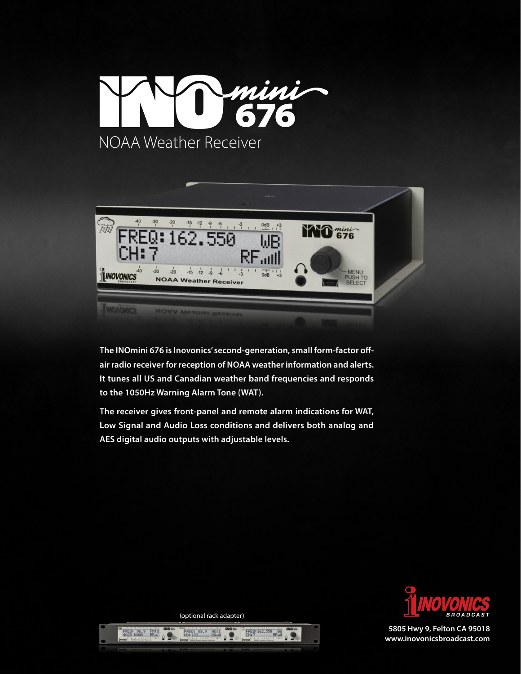



**The INOmini 676 is Inovonics' second-generation, small form-factor offair radio receiver for reception of NOAA weather information and alerts. It tunes all US and Canadian weather band frequencies and responds to the 1050Hz Warning Alarm Tone (WAT).**

**The receiver gives front-panel and remote alarm indications for WAT, Low Signal and Audio Loss conditions and delivers both analog and AES digital audio outputs with adjustable levels.** 



**5805 Hwy 9, Felton CA 95018 www.inovonicsbroadcast.com**

(optional rack adapter)